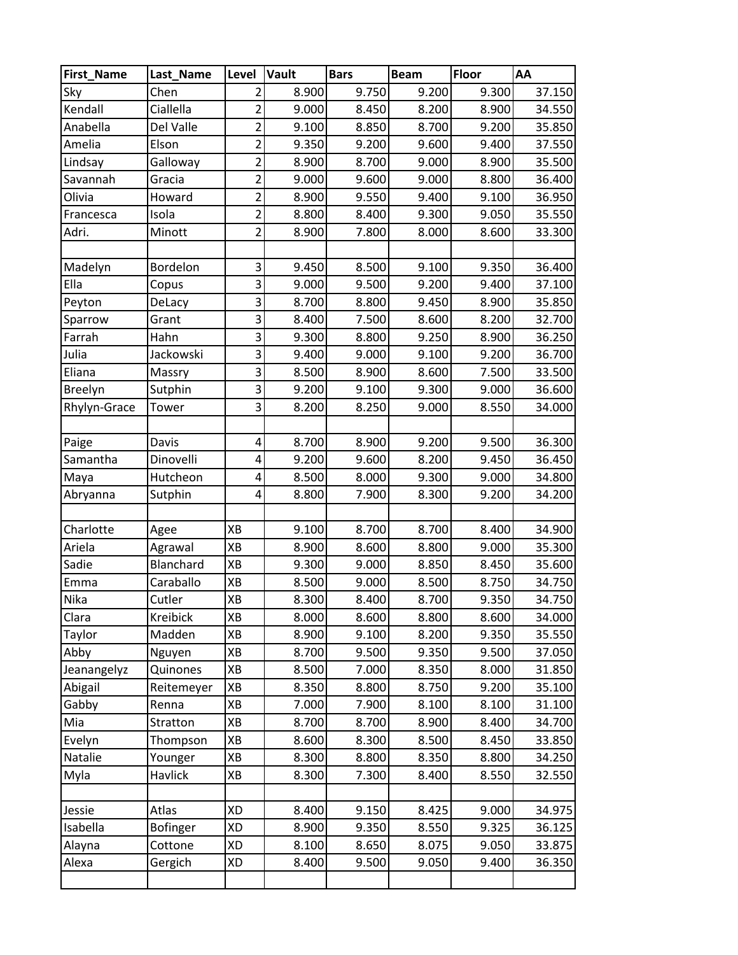| <b>First_Name</b> | Last_Name       | Level          | Vault | <b>Bars</b> | <b>Beam</b> | <b>Floor</b> | AA     |
|-------------------|-----------------|----------------|-------|-------------|-------------|--------------|--------|
| Sky               | Chen            | 2              | 8.900 | 9.750       | 9.200       | 9.300        | 37.150 |
| Kendall           | Ciallella       | $\overline{2}$ | 9.000 | 8.450       | 8.200       | 8.900        | 34.550 |
| Anabella          | Del Valle       | $\overline{2}$ | 9.100 | 8.850       | 8.700       | 9.200        | 35.850 |
| Amelia            | Elson           | $\overline{2}$ | 9.350 | 9.200       | 9.600       | 9.400        | 37.550 |
| Lindsay           | Galloway        | $\overline{2}$ | 8.900 | 8.700       | 9.000       | 8.900        | 35.500 |
| Savannah          | Gracia          | $\overline{2}$ | 9.000 | 9.600       | 9.000       | 8.800        | 36.400 |
| Olivia            | Howard          | $\overline{2}$ | 8.900 | 9.550       | 9.400       | 9.100        | 36.950 |
| Francesca         | Isola           | $\overline{2}$ | 8.800 | 8.400       | 9.300       | 9.050        | 35.550 |
| Adri.             | Minott          | $\overline{2}$ | 8.900 | 7.800       | 8.000       | 8.600        | 33.300 |
|                   |                 |                |       |             |             |              |        |
| Madelyn           | Bordelon        | 3              | 9.450 | 8.500       | 9.100       | 9.350        | 36.400 |
| Ella              | Copus           | 3              | 9.000 | 9.500       | 9.200       | 9.400        | 37.100 |
| Peyton            | DeLacy          | 3              | 8.700 | 8.800       | 9.450       | 8.900        | 35.850 |
| Sparrow           | Grant           | 3              | 8.400 | 7.500       | 8.600       | 8.200        | 32.700 |
| Farrah            | Hahn            | 3              | 9.300 | 8.800       | 9.250       | 8.900        | 36.250 |
| Julia             | Jackowski       | 3              | 9.400 | 9.000       | 9.100       | 9.200        | 36.700 |
| Eliana            | Massry          | 3              | 8.500 | 8.900       | 8.600       | 7.500        | 33.500 |
| <b>Breelyn</b>    | Sutphin         | 3              | 9.200 | 9.100       | 9.300       | 9.000        | 36.600 |
| Rhylyn-Grace      | Tower           | 3              | 8.200 | 8.250       | 9.000       | 8.550        | 34.000 |
|                   |                 |                |       |             |             |              |        |
| Paige             | Davis           | 4              | 8.700 | 8.900       | 9.200       | 9.500        | 36.300 |
| Samantha          | Dinovelli       | 4              | 9.200 | 9.600       | 8.200       | 9.450        | 36.450 |
| Maya              | Hutcheon        | 4              | 8.500 | 8.000       | 9.300       | 9.000        | 34.800 |
| Abryanna          | Sutphin         | 4              | 8.800 | 7.900       | 8.300       | 9.200        | 34.200 |
|                   |                 |                |       |             |             |              |        |
| Charlotte         | Agee            | XB             | 9.100 | 8.700       | 8.700       | 8.400        | 34.900 |
| Ariela            | Agrawal         | XB             | 8.900 | 8.600       | 8.800       | 9.000        | 35.300 |
| Sadie             | Blanchard       | XB             | 9.300 | 9.000       | 8.850       | 8.450        | 35.600 |
| Emma              | Caraballo       | XB             | 8.500 | 9.000       | 8.500       | 8.750        | 34.750 |
| Nika              | Cutler          | XB             | 8.300 | 8.400       | 8.700       | 9.350        | 34.750 |
| Clara             | Kreibick        | XB             | 8.000 | 8.600       | 8.800       | 8.600        | 34.000 |
| Taylor            | Madden          | XB             | 8.900 | 9.100       | 8.200       | 9.350        | 35.550 |
| Abby              | Nguyen          | XB             | 8.700 | 9.500       | 9.350       | 9.500        | 37.050 |
| Jeanangelyz       | Quinones        | XB             | 8.500 | 7.000       | 8.350       | 8.000        | 31.850 |
| Abigail           | Reitemeyer      | XB             | 8.350 | 8.800       | 8.750       | 9.200        | 35.100 |
| Gabby             | Renna           | XB             | 7.000 | 7.900       | 8.100       | 8.100        | 31.100 |
| Mia               | Stratton        | XB             | 8.700 | 8.700       | 8.900       | 8.400        | 34.700 |
| Evelyn            | Thompson        | XB             | 8.600 | 8.300       | 8.500       | 8.450        | 33.850 |
| Natalie           | Younger         | XB             | 8.300 | 8.800       | 8.350       | 8.800        | 34.250 |
| Myla              | <b>Havlick</b>  | XB             | 8.300 | 7.300       | 8.400       | 8.550        | 32.550 |
| Jessie            | Atlas           | XD             | 8.400 | 9.150       | 8.425       | 9.000        | 34.975 |
| Isabella          | <b>Bofinger</b> | XD             | 8.900 | 9.350       | 8.550       | 9.325        | 36.125 |
| Alayna            | Cottone         | XD             | 8.100 | 8.650       | 8.075       | 9.050        | 33.875 |
| Alexa             | Gergich         | XD             | 8.400 | 9.500       | 9.050       | 9.400        | 36.350 |
|                   |                 |                |       |             |             |              |        |
|                   |                 |                |       |             |             |              |        |